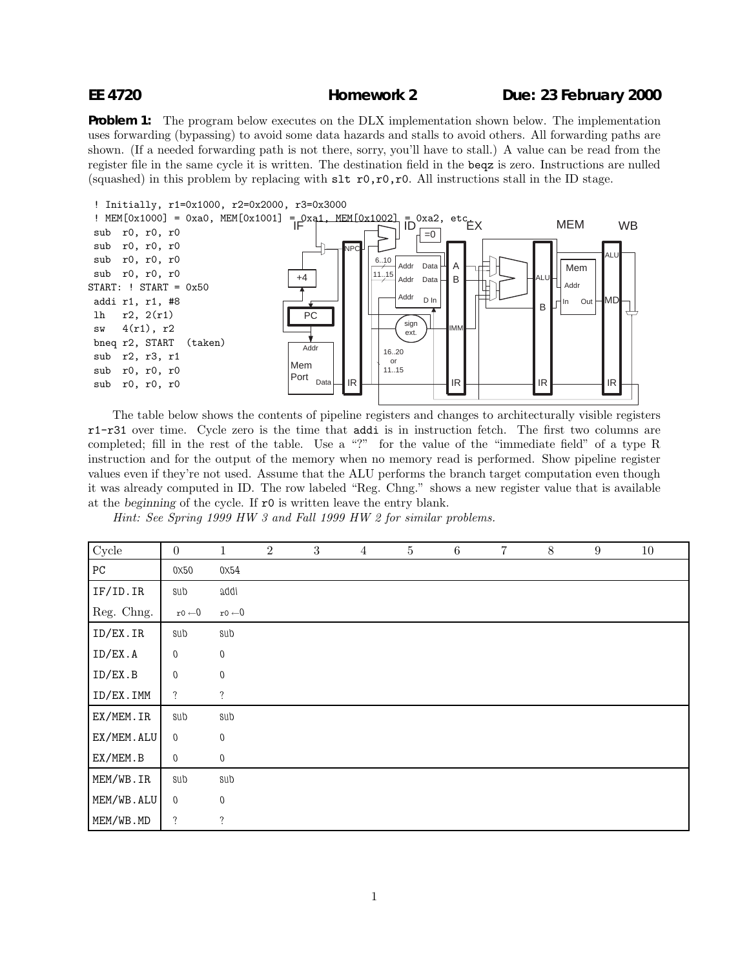## **EE 4720 Homework 2 Due: 23 February 2000**

**Problem 1:** The program below executes on the DLX implementation shown below. The implementation uses forwarding (bypassing) to avoid some data hazards and stalls to avoid others. All forwarding paths are shown. (If a needed forwarding path is not there, sorry, you'll have to stall.) A value can be read from the register file in the same cycle it is written. The destination field in the beqz is zero. Instructions are nulled (squashed) in this problem by replacing with  $str0,r0,r0$ . All instructions stall in the ID stage.



The table below shows the contents of pipeline registers and changes to architecturally visible registers r1-r31 over time. Cycle zero is the time that addi is in instruction fetch. The first two columns are completed; fill in the rest of the table. Use a "?" for the value of the "immediate field" of a type R instruction and for the output of the memory when no memory read is performed. Show pipeline register values even if they're not used. Assume that the ALU performs the branch target computation even though it was already computed in ID. The row labeled "Reg. Chng." shows a new register value that is available at the *beginning* of the cycle. If r0 is written leave the entry blank.

Hint: See Spring 1999 HW 3 and Fall 1999 HW 2 for similar problems.

| Cycle            | $\boldsymbol{0}$  | $\mathbf{1}$      | $\overline{2}$ | $\boldsymbol{3}$ | $\overline{4}$ | $\bf 5$ | $\,6\,$ | $\overline{7}$ | $8\,$ | $\boldsymbol{9}$ | 10 |
|------------------|-------------------|-------------------|----------------|------------------|----------------|---------|---------|----------------|-------|------------------|----|
| ${\rm P}{\rm C}$ | 0X50              | 0X54              |                |                  |                |         |         |                |       |                  |    |
| IF/ID. IR        | sub               | addi              |                |                  |                |         |         |                |       |                  |    |
| Reg. Chng.       | $r0 \leftarrow 0$ | $r0 \leftarrow 0$ |                |                  |                |         |         |                |       |                  |    |
| ID/EX.IR         | sub               | sub               |                |                  |                |         |         |                |       |                  |    |
| ID/EX.A          | 0                 | $\boldsymbol{0}$  |                |                  |                |         |         |                |       |                  |    |
| ID/EX.B          | $\boldsymbol{0}$  | $\boldsymbol{0}$  |                |                  |                |         |         |                |       |                  |    |
| ID/EX.IMM        | $\ddot{?}$        | $\ddot{?}$        |                |                  |                |         |         |                |       |                  |    |
| EX/MEM.IR        | sub               | sub               |                |                  |                |         |         |                |       |                  |    |
| EX/MEM.ALU       | $\mathbf 0$       | $\boldsymbol{0}$  |                |                  |                |         |         |                |       |                  |    |
| EX/MEM.B         | $\overline{0}$    | $\theta$          |                |                  |                |         |         |                |       |                  |    |
| MEM/WB.IR        | sub               | sub               |                |                  |                |         |         |                |       |                  |    |
| MEM/WB.ALU       | $\boldsymbol{0}$  | $\boldsymbol{0}$  |                |                  |                |         |         |                |       |                  |    |
| MEM/WB.MD        | $\ddot{?}$        | $\ddot{?}$        |                |                  |                |         |         |                |       |                  |    |